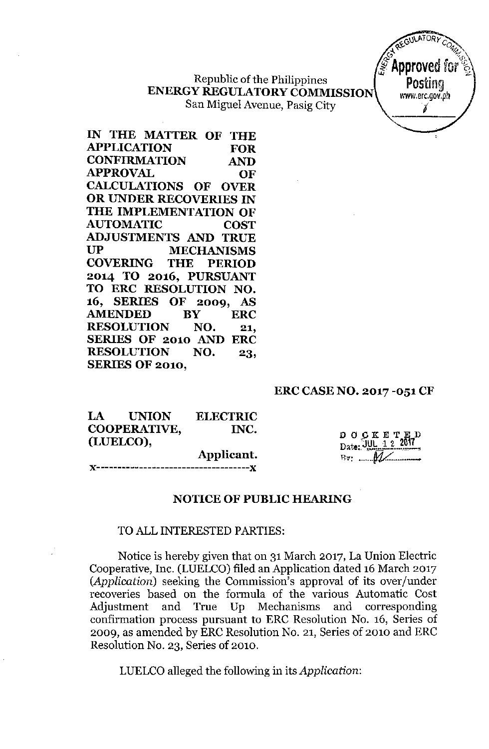Republic of the Philippines **ENERGY REGULATORYCOMMISSION** San Miguel Avenue, Pasig City



**IN THE MATTER OF THE APPLICATION FOR CONFIRMATION AND APPROVAL OF CALCULATIONS OF OVER OR UNDER RECOVERIES IN THE IMPLEMENTATION OF AUTOMATIC COST ADJUSTMENTS AND TRUE UP MECHANISMS COVERING THE PERIOD 2014 TO 2016, PURSUANT TO ERC RESOLUTION NO. 16, SERIES OF 2009, AS AMENDED BY ERC RESOLUTION NO. 21, SERIES OF 2010 AND ERC RESOLUTION NO. 23, SERIES OF 2010,**

### **ERC CASE NO. 2017 -051 CF**

| LA UNION     | <b>ELECTRIC</b> |
|--------------|-----------------|
| COOPERATIVE, | INC.            |
| (LUELCO),    |                 |
|              | Applicant.      |
|              |                 |

**DOCKETE Date:**  $\overline{JUL}$  1 2 Bv: *oooo •••nc.:- -*

## **NOTICE OF PUBLIC HEARING**

#### **TO** ALL INTERESTED PARTIES:

Notice is hereby given that on 31 March 2017, La Union Electric Cooperative, Inc. (LUELCO) filed an Application dated 16 March 2017 *(Application)* seeking the Commission's approval of its over/under recoveries based on the formula of the various Automatic Cost Adjustment and True Up Mechanisms and corresponding confirmation process pursuant to ERC Resolution No. 16, Series of 2009, as amended by ERC Resolution No. 21, Series of 2010 and ERC Resolution No. 23, Series of 2010.

LUELCO alleged the following in its *Application:*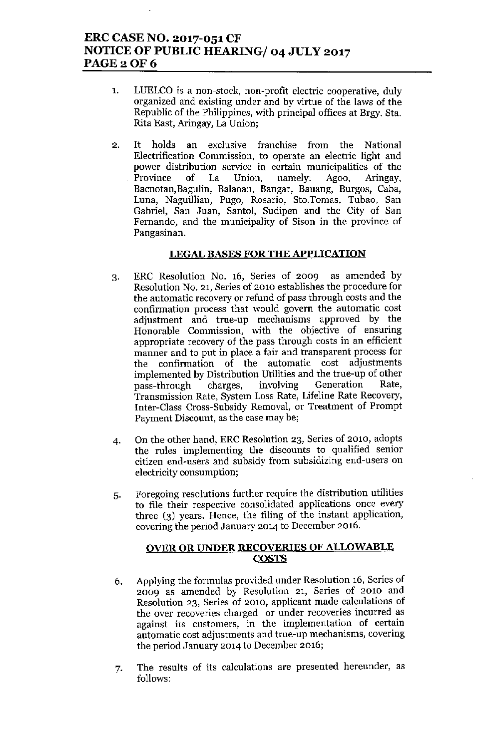# ERC CASE NO. 2017-051 CF NOTICE OF PUBLIC HEARING/ 04 JULY 2017 PAGE 2 OF 6

- 1. LUELCO is a non-stock, non-profit electric cooperative, duly organized and existing under and by virtue of the laws of the Republic of the Philippines, with principal offices at Brgy. 8ta. Rita East, Aringay, La Union;
- 2. It holds an exclusive franchise from the National Electrification Commission, to operate an electric light and power distribution service in certain municipalities of the Province of La Union, namely: Agoo, Aringay, Bacnotan,Bagulin, Balaoan, Bangar, Bauang, Burgos, Caba, Luna, Naguillian, Pugo, Rosario, Stc.Tomas, Tubao, San Gabriel, San Juan, Santol, Sudipen and the City of San Fernando, and the municipality of Sison in the province of Pangasinan.

### LEGAL BASES FOR THE APPLICATION

- 3. ERC Resolution No. 16, Series of 2009 as amended by Resolution No. 21, Series of 2010 establishes the procedure for the automatic recovery or refund of pass through costs and the confirmation process that would govern the automatic cost adjustment and true-up mechanisms approved by the Honorable Commission, with the objective of ensuring appropriate recovery of the pass through costs in an efficient manner and to put in place a fair and transparent process for the confirmation of the automatic cost adjustments implemented by Distribution Utilities and the true-up of other pass-through charges, involving Generation Rate, Transmission Rate, System Loss Rate, Lifeline Rate Recovery, Inter-Class Cross-Subsidy Removal, or Treatment of Prompt Payment Discount, as the case may be;
- 4. On the other hand, ERC Resolution 23, Series of 2010, adopts the rules implementing the discounts to qualified senior citizen end-users and subsidy from subsidizing end-users on electricity consumption;
- 5. Foregoing resolutions further require the distribution utilities to file their respective consolidated applications once every three (3) years. Hence, the filing of the instant application, covering the period January 2014 to December 2016.

### OVER OR UNDER RECOVERIES OF ALLOWABLE COSTS

- 6. Applying tbe formulas provided under Resolution 16, Series of 2009 as amended by Resolution 21, Series of 2010 and Resolution 23, Series of 2010, applicant made calculations of the over recoveries charged or under recoveries incurred as against its customers, in the implementation of certain automatic cost adjustments and true-up mechanisms, covering the period January 2014 to December 2016;
- 7. The results of its calculations are presented hereunder, as follows: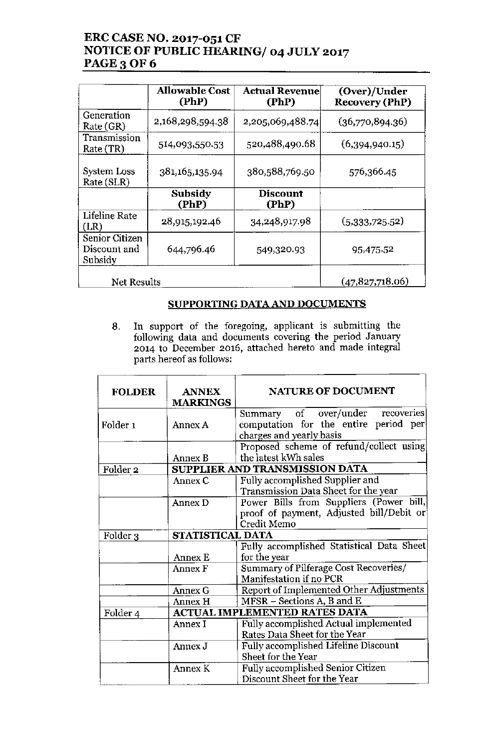# ERC CASE NO. 2017-051 CF NOTICE OF PUBLIC HEARING/ 04 JULY 2017 PAGE 3 OF 6

|                                                  | <b>Allowable Cost</b><br>(PhP) | <b>Actual Revenue</b><br>(PhP) | (Over)/Under<br><b>Recovery (PhP)</b> |
|--------------------------------------------------|--------------------------------|--------------------------------|---------------------------------------|
| Generation<br>Rate (GR)                          | 2,168,298,594.38               | 2,205,069,488.74               | (36,770,894.36)                       |
| Transmission<br>Rate (TR)                        | 514,093,550.53                 | 520,488,490.68                 | (6,394,940.15)                        |
| System Loss<br>Rate (SLR)                        | 381,165,135.94                 | 380,588,769.50                 | 576,366.45                            |
|                                                  | Subsidy<br>(PhP)               | <b>Discount</b><br>(PhP)       |                                       |
| Lifeline Rate<br>(LR)                            | 28,915,192.46                  | 34,248,917.98                  | (5,333,725.52)                        |
| <b>Senior Citizen</b><br>Discount and<br>Subsidy | 644,796.46                     | 549,320.93                     | 95,475.52                             |
| Net Results                                      |                                |                                | (47, 827, 718.06)                     |

## SUPPORTING DATA AND DOCUMENTS

8. **In** support of the foregoing, applicant is submitting the following data and documents covering the period January 2014 to December 2016, attached hereto and made integral parts hereof as follows:

| <b>FOLDER</b>       | <b>ANNEX</b><br><b>MARKINGS</b> | <b>NATURE OF DOCUMENT</b>                                                                             |  |
|---------------------|---------------------------------|-------------------------------------------------------------------------------------------------------|--|
| Folder <sub>1</sub> | Annex A                         | Summary of over/under recoveries<br>computation for the entire period per<br>charges and yearly basis |  |
|                     | Annex B                         | Proposed scheme of refund/collect using<br>the latest kWh sales                                       |  |
| Folder $2$          |                                 | SUPPLIER AND TRANSMISSION DATA                                                                        |  |
|                     | Annex C                         | Fully accomplished Supplier and<br>Transmission Data Sheet for the year                               |  |
|                     | Annex D                         | Power Bills from Suppliers (Power bill,<br>proof of payment, Adjusted bill/Debit or<br>Credit Memo    |  |
| Folder 3            | STATISTICAL DATA                |                                                                                                       |  |
|                     |                                 | Fully accomplished Statistical Data Sheet                                                             |  |
|                     | Annex E                         | for the year                                                                                          |  |
|                     | Annex F                         | Summary of Pilferage Cost Recoveries/<br>Manifestation if no PCR                                      |  |
|                     | Annex G                         | Report of Implemented Other Adjustments                                                               |  |
|                     | Annex H                         | MFSR – Sections A, B and E                                                                            |  |
| Folder 4            |                                 | <b>ACTUAL IMPLEMENTED RATES DATA</b>                                                                  |  |
|                     | Annex I                         | Fully accomplished Actual implemented                                                                 |  |
|                     |                                 | Rates Data Sheet for the Year                                                                         |  |
|                     | Annex J                         | Fully accomplished Lifeline Discount                                                                  |  |
|                     |                                 | Sheet for the Year                                                                                    |  |
|                     | Annex K                         | <b>Fully accomplished Senior Citizen</b><br>Discount Sheet for the Year                               |  |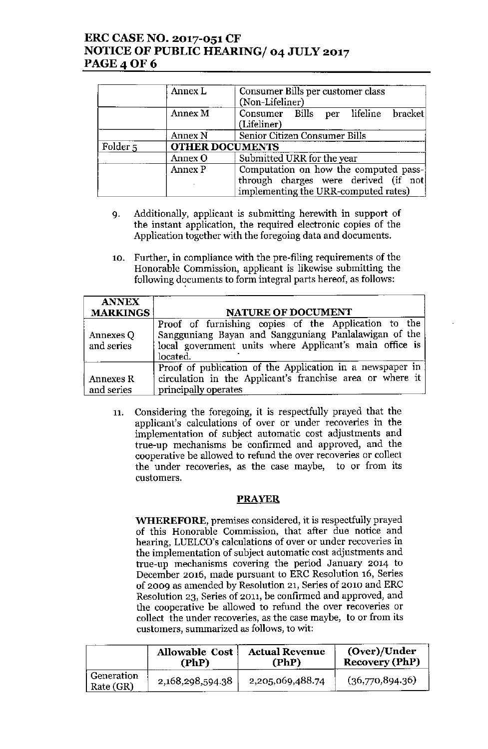# ERC CASE NO. 2017-051 CF NOTICE OF PUBLIC HEARING/ 04 JULY 2017 PAGE 4 OF 6

|                     | Annex L                | Consumer Bills per customer class<br>(Non-Lifeliner)                                                                  |  |
|---------------------|------------------------|-----------------------------------------------------------------------------------------------------------------------|--|
|                     | Annex M                | Consumer Bills per lifeline bracket<br>(Lifeliner)                                                                    |  |
|                     | Annex N                | Senior Citizen Consumer Bills                                                                                         |  |
| Folder <sub>5</sub> | <b>OTHER DOCUMENTS</b> |                                                                                                                       |  |
|                     | Annex O                | Submitted URR for the year                                                                                            |  |
|                     | Annex P                | Computation on how the computed pass-<br>through charges were derived (if not<br>implementing the URR-computed rates) |  |

- 9. Additionally, applicant is submitting herewith in support of the instant application, the required electronic copies of the Application together with the foregoing data and documents.
- 10. Further, in compliance with the pre-filing requirements of the Honorable Commission, applicant is likewise submitting the following documents to form integral parts hereof, as follows:

| <b>ANNEX</b>            |                                                                                                                                                                                      |  |  |
|-------------------------|--------------------------------------------------------------------------------------------------------------------------------------------------------------------------------------|--|--|
| <b>MARKINGS</b>         | <b>NATURE OF DOCUMENT</b>                                                                                                                                                            |  |  |
| Annexes Q<br>and series | Proof of furnishing copies of the Application to the<br>Sangguniang Bayan and Sangguniang Panlalawigan of the<br>local government units where Applicant's main office is<br>located. |  |  |
| Annexes R<br>and series | Proof of publication of the Application in a newspaper in<br>circulation in the Applicant's franchise area or where it<br>principally operates                                       |  |  |

11. Consideriug the foregoing, it is respectfully prayed that the applicant's calculations of over or under recoveries in the implementation of subject automatic cost adjustments and true-up mechanisms be 'confirmed and approved, and the cooperative be allowed to refund the over recoveries or collect the under recoveries, as the case maybe, to or from its customers.

### PRAYER

**WHEREFORE,** premises considered, it is respectfully prayed of this Honorable Commission, that after due notice and hearing, LUELCO's calculations of over or under recoveries in the implementation of subject automatic cost adjustments and true-up mechanisms covering the period January 2014 to December 2016, made pursuant to ERC Resolution 16, Series of 2009 as amended by Resolution 21, Series of 2010 and ERC Resolution 23, Series of 2011, be confirmed and approved, and the cooperative be allowed to refund the over recoveries or collect the under recoveries, as the case maybe, to or from its customers, summarized as follows, to wit:

|                         | <b>Allowable Cost</b> | <b>Actual Revenue</b> | (Over)/Under          |
|-------------------------|-----------------------|-----------------------|-----------------------|
|                         | (PhP)                 | (PhP)                 | <b>Recovery (PhP)</b> |
| Generation<br>Rate (GR) | 2,168,298,594.38      | 2,205,069,488.74      | (36,770,894.36)       |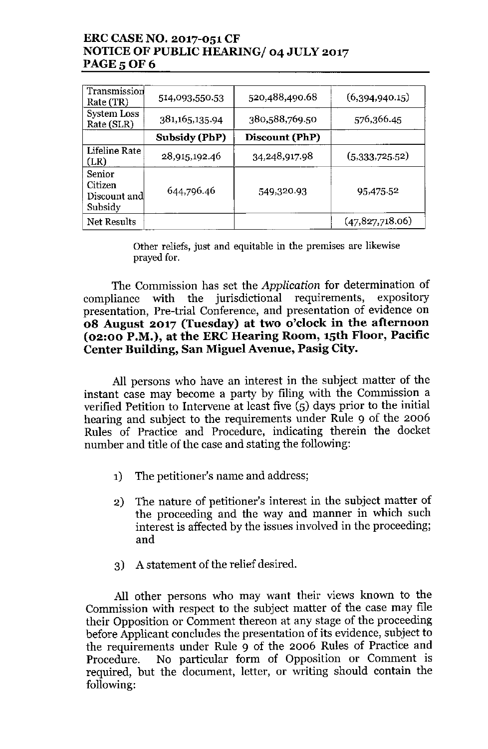# ERC CASENO. 2017-051 CF NOTICE OF PUBLIC HEARING/ 04 JULY 2017 **PAGE 5 OF 6**

| Transmission<br>Rate (TR)                    | 514,093,550.53 | 520,488,490.68 | (6,394,940.15)    |
|----------------------------------------------|----------------|----------------|-------------------|
| System Loss<br>Rate (SLR)                    | 381,165,135.94 | 380,588,769.50 | 576,366.45        |
|                                              | Subsidy (PhP)  | Discount (PhP) |                   |
| Lifeline Rate<br>(LR)                        | 28,915,192.46  | 34,248,917.98  | (5,333,725.52)    |
| Senior<br>Citizen<br>Discount and<br>Subsidy | 644,796.46     | 549,320.93     | 95,475.52         |
| Net Results                                  |                |                | (47, 827, 718.06) |

Other reliefs, just and equitable in the premises are likewise prayed for.

The Commission has set the *Application* for determination of compliance with the jurisdictional requirements, presentation, Pre-trial Conference, and presentation of evidence on 08 August 2017 (Tuesday) at two o'clock in the afternoon (02:00 P.M.), at the ERC Hearing Room, 15th Floor, Pacific Center Building, San Miguel Avenue, Pasig City.

All persons who have an interest in the subject matter of the instant case may become a party by filing with the Commission a verified Petition to Intervene at least five (5) days prior to the initial hearing and subject to the requirements under Rule 9 of the 2006 Rules of Practice and Procedure, indicating therein the docket number and title of the case and stating the following:

- 1) The petitioner's name and address;
- 2) The nature of petitioner's interest in the subject matter of the proceeding and the way and manner in which such interest is affected by the issues involved in the proceeding; and
- 3) A statement of the relief desired.

All other persons who may want their views known to the Commission with respect to the subject matter of the case may file their Opposition or Comment thereon at any stage of the proceeding before Applicant concludes the presentation of its evidence, subject to the requirements under Rule 9 of the 2006 Rules of Practice and Procedure. No particular form of Opposition or Comment is required, but the document, letter, or writing should contain the following: